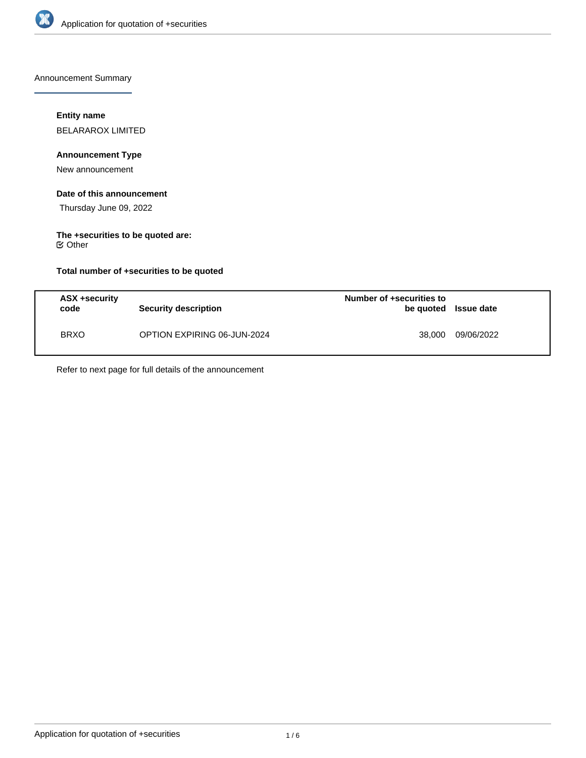

Announcement Summary

## **Entity name**

BELARAROX LIMITED

## **Announcement Type**

New announcement

## **Date of this announcement**

Thursday June 09, 2022

# **The +securities to be quoted are:**

Other

## **Total number of +securities to be quoted**

| ASX +security<br>code | Security description        | Number of +securities to<br>be quoted Issue date |            |
|-----------------------|-----------------------------|--------------------------------------------------|------------|
| <b>BRXO</b>           | OPTION EXPIRING 06-JUN-2024 | 38,000                                           | 09/06/2022 |

Refer to next page for full details of the announcement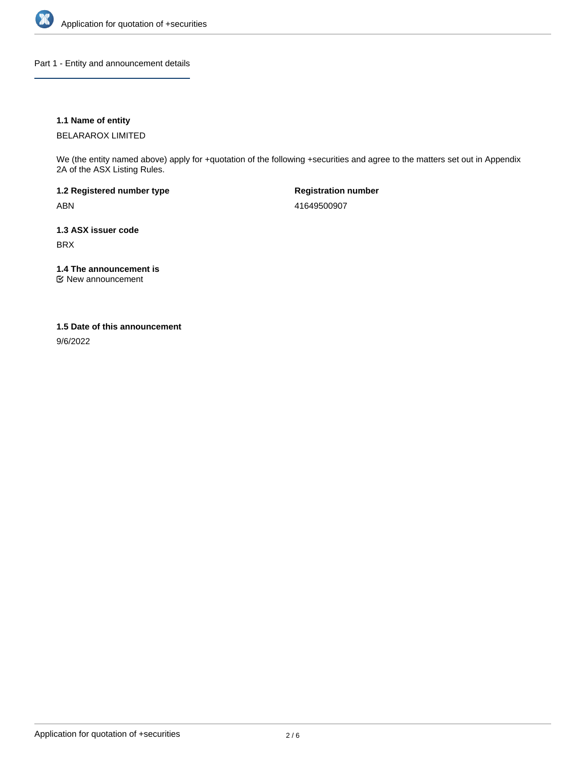

Part 1 - Entity and announcement details

## **1.1 Name of entity**

BELARAROX LIMITED

We (the entity named above) apply for +quotation of the following +securities and agree to the matters set out in Appendix 2A of the ASX Listing Rules.

**1.2 Registered number type** ABN

**Registration number** 41649500907

**1.3 ASX issuer code** BRX

**1.4 The announcement is**

New announcement

#### **1.5 Date of this announcement**

9/6/2022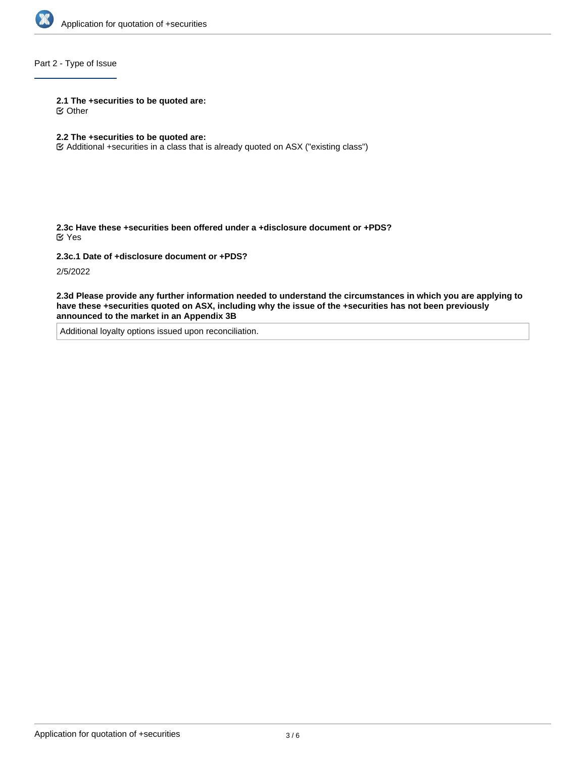

## Part 2 - Type of Issue

#### **2.1 The +securities to be quoted are:**

Other

## **2.2 The +securities to be quoted are:**

Additional +securities in a class that is already quoted on ASX ("existing class")

**2.3c Have these +securities been offered under a +disclosure document or +PDS?** Yes

**2.3c.1 Date of +disclosure document or +PDS?**

2/5/2022

**2.3d Please provide any further information needed to understand the circumstances in which you are applying to have these +securities quoted on ASX, including why the issue of the +securities has not been previously announced to the market in an Appendix 3B**

Additional loyalty options issued upon reconciliation.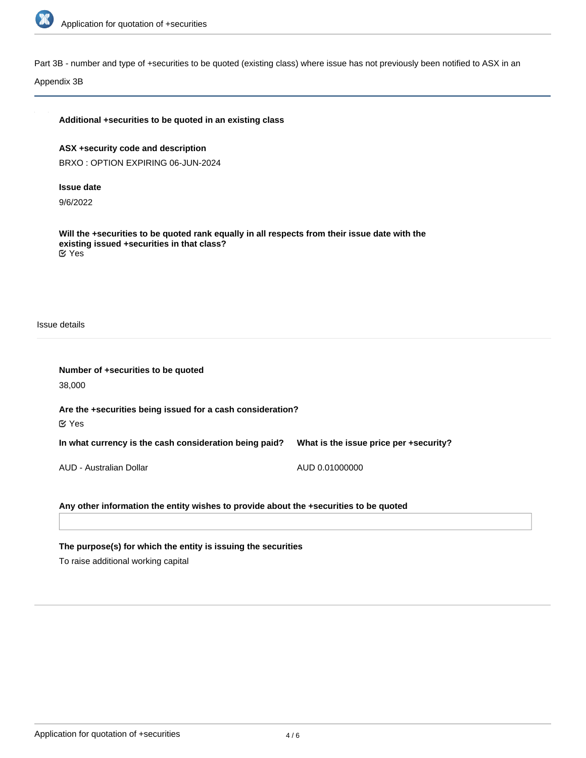

Part 3B - number and type of +securities to be quoted (existing class) where issue has not previously been notified to ASX in an

Appendix 3B

| Additional +securities to be quoted in an existing class |  |  |  |
|----------------------------------------------------------|--|--|--|
|                                                          |  |  |  |

**ASX +security code and description** BRXO : OPTION EXPIRING 06-JUN-2024

**Issue date**

9/6/2022

**Will the +securities to be quoted rank equally in all respects from their issue date with the existing issued +securities in that class?** Yes

Issue details

| Number of +securities to be quoted                                                    |                                        |  |  |  |  |
|---------------------------------------------------------------------------------------|----------------------------------------|--|--|--|--|
| 38,000                                                                                |                                        |  |  |  |  |
| Are the +securities being issued for a cash consideration?<br>$\mathfrak{C}$ Yes      |                                        |  |  |  |  |
| In what currency is the cash consideration being paid?                                | What is the issue price per +security? |  |  |  |  |
| AUD - Australian Dollar                                                               | AUD 0.01000000                         |  |  |  |  |
| Any other information the entity wishes to provide about the +securities to be quoted |                                        |  |  |  |  |

**The purpose(s) for which the entity is issuing the securities**

To raise additional working capital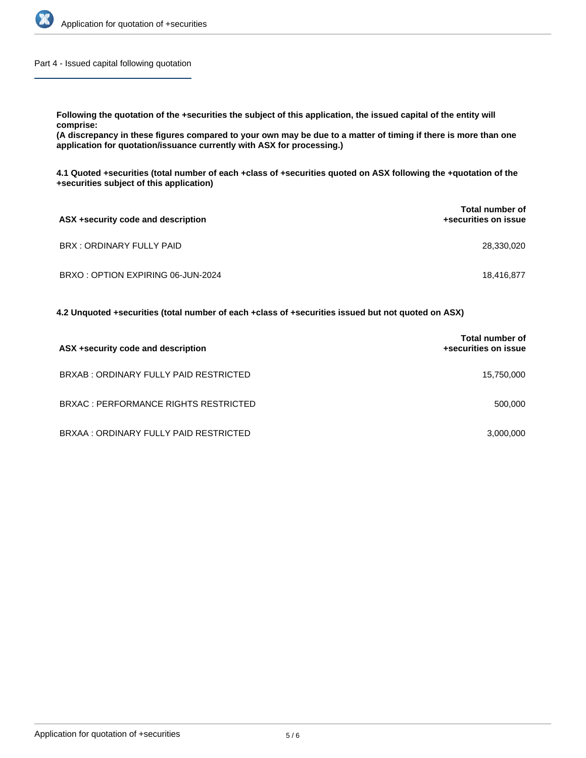

Part 4 - Issued capital following quotation

**Following the quotation of the +securities the subject of this application, the issued capital of the entity will comprise:**

**(A discrepancy in these figures compared to your own may be due to a matter of timing if there is more than one application for quotation/issuance currently with ASX for processing.)**

**4.1 Quoted +securities (total number of each +class of +securities quoted on ASX following the +quotation of the +securities subject of this application)**

| ASX +security code and description | <b>Total number of</b><br>+securities on issue |
|------------------------------------|------------------------------------------------|
| BRX: ORDINARY FULLY PAID           | 28,330,020                                     |
| BRXO: OPTION EXPIRING 06-JUN-2024  | 18.416.877                                     |

**4.2 Unquoted +securities (total number of each +class of +securities issued but not quoted on ASX)**

| ASX +security code and description     | Total number of<br>+securities on issue |
|----------------------------------------|-----------------------------------------|
| BRXAB: ORDINARY FULLY PAID RESTRICTED  | 15,750,000                              |
| BRXAC : PERFORMANCE RIGHTS RESTRICTED  | 500,000                                 |
| BRXAA : ORDINARY FULLY PAID RESTRICTED | 3,000,000                               |